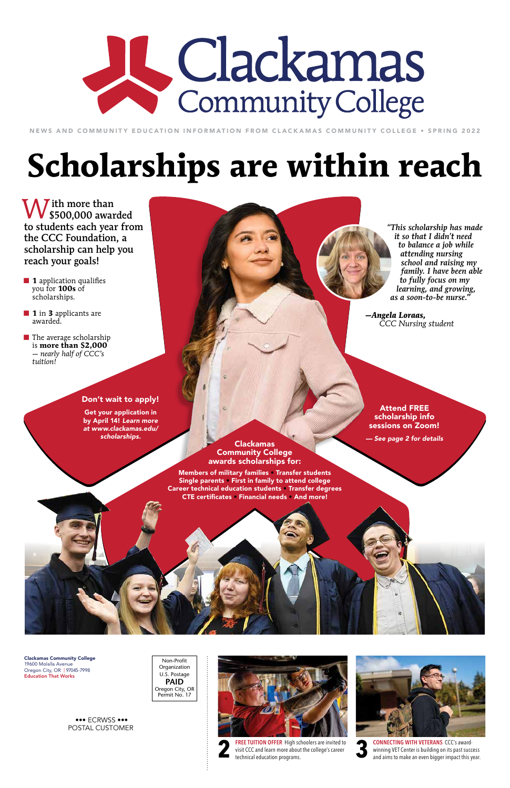$\bigwedge$  ith more than **W** ith more than<br>\$500,000 awarded to students each year from the CCC Foundation, a scholarship can help you reach your goals!

> Non-Profit **Organization** U.S. Postage **PAID** Oregon City, OR Permit No. 17

# A Clackamas Community College

NEWS AND COMMUNITY EDUCATION INFORMATION FROM CLACKAMAS COMMUNITY COLLEGE • SPRING 2022

regarding the postal code strip (at the bottom of the mailing side).  $A$ tached you like the latest version based on a new post card on a new post card option based on a new post card

that Frank showed me (and sent me away with a handy reference guide). The attached version allows us to keep the  $C$ because it helps the recipient understand that the front is also meant to be looked at as a vertical) while allowing enough room for the address label AND code strip. Frank tells me that the indicia can be as small as . The state  $\mathbf{v}$  is the but true. When it has the but true. What I'm  $s$  , with bigger than  $\mathcal{A}$  $t_{\rm eff}$  want to confirm is how you plan to address the second to address the second to address the second to address the second to address the second to address the second to address the second to address the second to a will control control create and print labels from the create and print labels from the create and probably using the control create and probably using the control create and probably using the control create and probably u one of the label templates in Word). Labels come in a variety of sizes, so if you need a 1" high label I might want to nuclear to allow room for  $\mathcal{A}$  is code strip. The sample  $\mathcal{A}$ 

Frank). Thank you for sharing the info regarding the indicia--crazy that 4pt type is adequate.

- **1 1** application qualifies you for **100s** of scholarships.
- **1 1** in **3** applicants are awarded.
- $\blacksquare$  The average scholarship is **more than \$2,000** — *nearly half of CCC's tuition!*

Single parents • First in family to attend college Career technical education students · Transfer degrees **CAREER CAREER EXTEGRIFICATES • Training for specific careers in specific careers in specific careers in the specific careers of the specific careers of the specific careers of the specific careers of the specific careers** Financial needs • And more! Members of military families • Transfer students



Ah that darn post office... To be extra sure we don't get ourselves into by April 14! *Learn more*  trouble, I went and talked to our man, Frank -- the man, Frank -- the mailing expert at the mailing expert at the mailing expert at the mail of the mail of the mail of the mail of the mail of the mail of the mail of the ma  $\mathbf s$  feared we might branch because I feared we might be in trouble Get your application in *scholarships.*



Clackamas Community College 19600 Molalla Avenue Oregon City, OR | 97045-7998 Education That Works

> CONNECTING WITH VETERANS CCC's awardwinning VET Center is building on its past success **3** and aims to make an even bigger impact this year.

 ••• ECRWSS ••• POSTAL CUSTOMER



**FREE TUITION OFFER** High schoolers are invited to visit CCC and learn more about the college's career technical education programs.



# **Scholarships are within reach**

*"This scholarship has made it so that I didn't need to balance a job while attending nursing school and raising my family. I have been able to fully focus on my learning, and growing, as a soon-to-be nurse."*

*—Angela Loraas, CCC Nursing student*

Clackamas Community College awards scholarships for:

#### Don't wait to apply!

My two cents. I like this new layout very much very good use of the small space (and it has been blessed by two cents of the small space (and it has been blessed by the small space (and it has been blessed by two cents of

Attend FREE scholarship info sessions on Zoom!

*— See page 2 for details*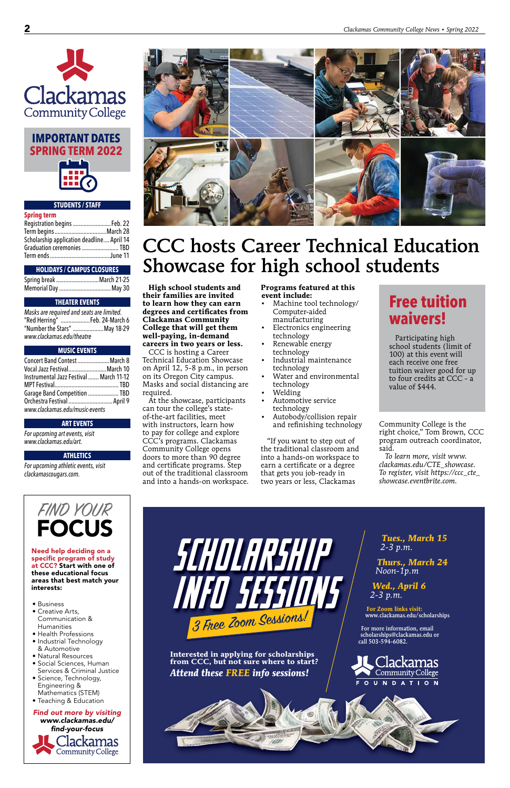

#### **STUDENTS / STAFF**

#### **Spring term**

| Registration begins  Feb. 22              |  |
|-------------------------------------------|--|
|                                           |  |
| Scholarship application deadline April 14 |  |
| Graduation ceremonies  TBD                |  |
|                                           |  |

#### **HOLIDAYS / CAMPUS CLOSURES**

| Spring break March 21-25 |  |
|--------------------------|--|
|                          |  |

#### **THEATER EVENTS**

| Masks are required and seats are limited. |  |
|-------------------------------------------|--|
| "Red Herring" Feb. 24-March 6             |  |
| "Number the Stars" May 18-29              |  |
| www.clackamas.edu/theatre                 |  |

#### **MUSIC EVENTS**

*Find out more by visiting www.clackamas.edu/ find-your-focus* **Clackamas** Community College

| Concert Band Contest March 8            |  |
|-----------------------------------------|--|
| Vocal Jazz FestivalMarch 10             |  |
| Instrumental Jazz Festival  March 11-12 |  |
|                                         |  |
| Garage Band Competition  TBD            |  |
| Orchestra Festival  April 9             |  |
| www.clackamas.edu/music-events          |  |

#### **ART EVENTS**

*For upcoming art events, visit www.clackamas.edu/art.*

#### **ATHLETICS**

*For upcoming athletic events, visit clackamascougars.com.*







Need help deciding on a specific program of study at CCC? Start with one of these educational focus areas that best match your interests:

• Business

- Creative Arts, Communication & Humanities
- Health Professions
- Industrial Technology & Automotive
- Natural Resources
- Social Sciences, Human Services & Criminal Justice
- Science, Technology, Engineering & Mathematics (STEM)
- Teaching & Education

**High school students and their families are invited to learn how they can earn degrees and certificates from Clackamas Community College that will get them well-paying, in-demand careers in two years or less.**

CCC is hosting a Career Technical Education Showcase on April 12, 5-8 p.m., in person on its Oregon City campus. Masks and social distancing are required.

At the showcase, participants can tour the college's stateof-the-art facilities, meet with instructors, learn how to pay for college and explore CCC's programs. Clackamas Community College opens doors to more than 90 degree and certificate programs. Step out of the traditional classroom and into a hands-on workspace.

#### **Programs featured at this event include:**

- Machine tool technology/ Computer-aided manufacturing
- Electronics engineering technology
- Renewable energy technology
- Industrial maintenance technology
- Water and environmental technology
- Welding
- Automotive service technology
- Autobody/collision repair and refinishing technology

"If you want to step out of the traditional classroom and into a hands-on workspace to earn a certificate or a degree that gets you job-ready in two years or less, Clackamas

Community College is the right choice," Tom Brown, CCC program outreach coordinator, said.

*To learn more, visit www. clackamas.edu/CTE\_showcase. To register, visit https://ccc\_cte\_ showcase.eventbrite.com.*

## CCC hosts Career Technical Education Showcase for high school students

### **Free tuition waivers!**

Participating high school students (limit of 100) at this event will each receive one free tuition waiver good for up to four credits at CCC - a value of \$444.

*Tues., March 15 2-3 p.m.*

*Thurs., March 24 Noon-1p.m* 

*Wed., April 6 2-3 p.m.*

**For Zoom links visit:** www.clackamas.edu/scholarships



For more information, email scholarships@clackamas.edu or call 503-594-6082.



**Interested in applying for scholarships from CCC, but not sure where to start?** *Attend these FREE info sessions!*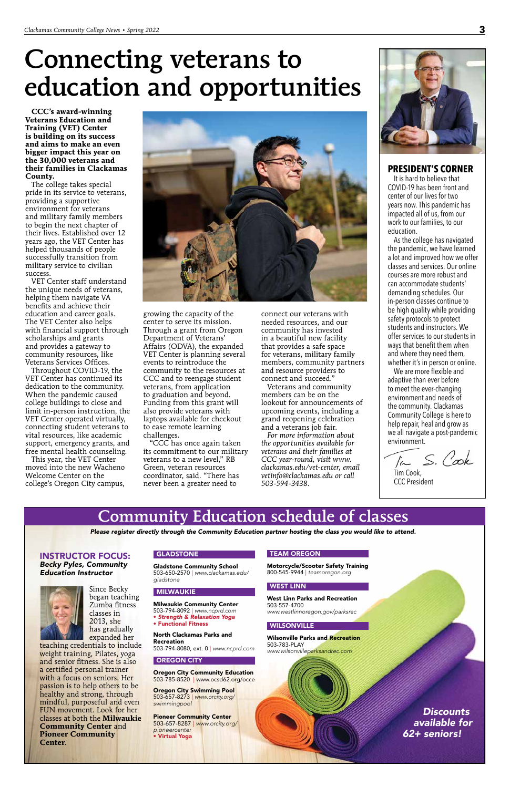**CCC's award-winning Veterans Education and Training (VET) Center is building on its success and aims to make an even bigger impact this year on the 30,000 veterans and their families in Clackamas County.**

The college takes special pride in its service to veterans, providing a supportive environment for veterans and military family members to begin the next chapter of their lives. Established over 12 years ago, the VET Center has helped thousands of people successfully transition from military service to civilian success.

VET Center staff understand the unique needs of veterans, helping them navigate VA benefits and achieve their education and career goals. The VET Center also helps with financial support through scholarships and grants and provides a gateway to community resources, like Veterans Services Offices.

Throughout COVID-19, the VET Center has continued its dedication to the community. When the pandemic caused college buildings to close and limit in-person instruction, the VET Center operated virtually, connecting student veterans to vital resources, like academic support, emergency grants, and free mental health counseling.

This year, the VET Center moved into the new Wacheno Welcome Center on the college's Oregon City campus,



growing the capacity of the center to serve its mission. Through a grant from Oregon Department of Veterans' Affairs (ODVA), the expanded VET Center is planning several events to reintroduce the community to the resources at CCC and to reengage student veterans, from application to graduation and beyond. Funding from this grant will also provide veterans with laptops available for checkout to ease remote learning challenges.

"CCC has once again taken its commitment to our military veterans to a new level," RB Green, veteran resources coordinator, said. "There has never been a greater need to

connect our veterans with needed resources, and our community has invested in a beautiful new facility that provides a safe space for veterans, military family members, community partners and resource providers to connect and succeed."

Veterans and community members can be on the lookout for announcements of upcoming events, including a grand reopening celebration and a veterans job fair.

*For more information about the opportunities available for veterans and their families at CCC year-round, visit www. clackamas.edu/vet-center, email vetinfo@clackamas.edu or call 503-594-3438.* 



# Connecting veterans to education and opportunities

**PRESIDENT'S CORNER**

It is hard to believe that COVID-19 has been front and center of our lives for two years now. This pandemic has impacted all of us, from our work to our families, to our education.

As the college has navigated the pandemic, we have learned a lot and improved how we offer classes and services. Our online courses are more robust and can accommodate students' demanding schedules. Our in-person classes continue to be high quality while providing safety protocols to protect students and instructors. We offer services to our students in ways that benefit them when and where they need them, whether it's in person or online.

We are more flexible and adaptive than ever before to meet the ever-changing environment and needs of the community. Clackamas Community College is here to help repair, heal and grow as we all navigate a post-pandemic environment.

In S. Cook

Tim Cook, CCC President

### Community Education schedule of classes

#### INSTRUCTOR FOCUS: *Becky Pyles, Community Education Instructor*



Since Becky began teaching Zumba fitness classes in 2013, she has gradually expanded her

teaching credentials to include weight training, Pilates, yoga and senior fitness. She is also a certified personal trainer with a focus on seniors. Her passion is to help others to be healthy and strong, through mindful, purposeful and even FUN movement. Look for her classes at both the **Milwaukie Community Center** and **Pioneer Community Center**.

#### GLADSTONE

Gladstone Community School 503-650-2570 | *www.clackamas.edu/ gladstone*

#### **MILWAUKIE**

Milwaukie Community Center

503-794-8092 | *www.ncprd.com*

• *Strength & Relaxation Yoga*

• Functional Fitness

North Clackamas Parks and Recreation 503-794-8080, ext. 0 | *www.ncprd.com*

#### OREGON CITY

Oregon City Community Education 503-785-8520 | www.ocsd62.org/occe

Oregon City Swimming Pool 503-657-8273 | *www.orcity.org/ swimmingpool*

Pioneer Community Center 503-657-8287 | *www.orcity.org/ pioneercenter* • Virtual Yoga

#### TEAM OREGON

Motorcycle/Scooter Safety Training 800-545-9944 | *teamoregon.org*

#### WEST LINN

West Linn Parks and Recreation 503-557-4700

*www.westlinnoregon.gov/parksrec*

#### **WILSONVILLE**

Wilsonville Parks and Recreation 503-783-PLAY *www.wilsonvilleparksandrec.com*

*Please register directly through the Community Education partner hosting the class you would like to attend.* 

*Discounts available for 62+ seniors!*